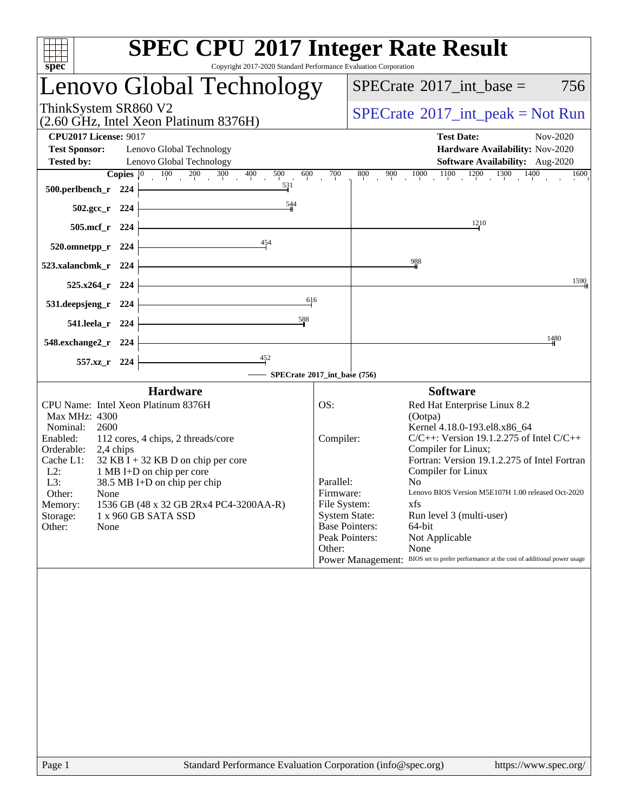| <b>SPEC CPU®2017 Integer Rate Result</b><br>Copyright 2017-2020 Standard Performance Evaluation Corporation<br>spec <sup>®</sup>                                                                                                                                                                                                                                                                                                        |                                                                                                                                         |                                                                                                                                                                                                                                                                                                                                                                                                                                                                                   |
|-----------------------------------------------------------------------------------------------------------------------------------------------------------------------------------------------------------------------------------------------------------------------------------------------------------------------------------------------------------------------------------------------------------------------------------------|-----------------------------------------------------------------------------------------------------------------------------------------|-----------------------------------------------------------------------------------------------------------------------------------------------------------------------------------------------------------------------------------------------------------------------------------------------------------------------------------------------------------------------------------------------------------------------------------------------------------------------------------|
| Lenovo Global Technology                                                                                                                                                                                                                                                                                                                                                                                                                |                                                                                                                                         | 756<br>$SPECTate$ <sup>®</sup> 2017_int_base =                                                                                                                                                                                                                                                                                                                                                                                                                                    |
| ThinkSystem SR860 V2<br>(2.60 GHz, Intel Xeon Platinum 8376H)                                                                                                                                                                                                                                                                                                                                                                           |                                                                                                                                         | $SPECTate@2017_int\_peak = Not Run$                                                                                                                                                                                                                                                                                                                                                                                                                                               |
| <b>CPU2017 License: 9017</b><br><b>Test Sponsor:</b><br>Lenovo Global Technology<br>Lenovo Global Technology<br><b>Tested by:</b>                                                                                                                                                                                                                                                                                                       |                                                                                                                                         | <b>Test Date:</b><br>Nov-2020<br>Hardware Availability: Nov-2020<br>Software Availability: Aug-2020                                                                                                                                                                                                                                                                                                                                                                               |
| <b>Copies</b> $\begin{bmatrix} 0 & 100 & 200 & 300 & 400 \end{bmatrix}$<br>500<br>600<br>531<br>500.perlbench_r 224                                                                                                                                                                                                                                                                                                                     | 700<br>800                                                                                                                              | $900 \t 1000 \t 1100 \t 1200 \t 1300 \t 1400$<br>1600                                                                                                                                                                                                                                                                                                                                                                                                                             |
| $\frac{544}{5}$<br>$502.\text{gcc}_r$ 224                                                                                                                                                                                                                                                                                                                                                                                               |                                                                                                                                         |                                                                                                                                                                                                                                                                                                                                                                                                                                                                                   |
| 505.mcf_r 224<br>454                                                                                                                                                                                                                                                                                                                                                                                                                    |                                                                                                                                         | 1210                                                                                                                                                                                                                                                                                                                                                                                                                                                                              |
| 520.omnetpp_r 224<br>523.xalancbmk_r 224                                                                                                                                                                                                                                                                                                                                                                                                |                                                                                                                                         | $\frac{988}{5}$                                                                                                                                                                                                                                                                                                                                                                                                                                                                   |
| 525.x264_r 224                                                                                                                                                                                                                                                                                                                                                                                                                          |                                                                                                                                         | 1590                                                                                                                                                                                                                                                                                                                                                                                                                                                                              |
| 616<br>531.deepsjeng_r 224<br>588<br>541.leela_r 224                                                                                                                                                                                                                                                                                                                                                                                    |                                                                                                                                         |                                                                                                                                                                                                                                                                                                                                                                                                                                                                                   |
| 548.exchange2_r 224                                                                                                                                                                                                                                                                                                                                                                                                                     |                                                                                                                                         | 1480                                                                                                                                                                                                                                                                                                                                                                                                                                                                              |
| $\frac{452}{7}$<br>557.xz_r 224                                                                                                                                                                                                                                                                                                                                                                                                         |                                                                                                                                         |                                                                                                                                                                                                                                                                                                                                                                                                                                                                                   |
|                                                                                                                                                                                                                                                                                                                                                                                                                                         | SPECrate®2017_int_base (756)                                                                                                            |                                                                                                                                                                                                                                                                                                                                                                                                                                                                                   |
| <b>Hardware</b><br>CPU Name: Intel Xeon Platinum 8376H<br>Max MHz: 4300<br>2600<br>Nominal:<br>Enabled:<br>112 cores, 4 chips, 2 threads/core<br>Orderable:<br>2,4 chips<br>Cache L1:<br>$32$ KB I + 32 KB D on chip per core<br>1 MB I+D on chip per core<br>$L2$ :<br>L3:<br>38.5 MB I+D on chip per chip<br>Other:<br>None<br>Memory:<br>1536 GB (48 x 32 GB 2Rx4 PC4-3200AA-R)<br>1 x 960 GB SATA SSD<br>Storage:<br>Other:<br>None | OS:<br>Compiler:<br>Parallel:<br>Firmware:<br>File System:<br><b>System State:</b><br><b>Base Pointers:</b><br>Peak Pointers:<br>Other: | <b>Software</b><br>Red Hat Enterprise Linux 8.2<br>(Ootpa)<br>Kernel 4.18.0-193.el8.x86_64<br>$C/C++$ : Version 19.1.2.275 of Intel $C/C++$<br>Compiler for Linux;<br>Fortran: Version 19.1.2.275 of Intel Fortran<br>Compiler for Linux<br>N <sub>0</sub><br>Lenovo BIOS Version M5E107H 1.00 released Oct-2020<br>xfs<br>Run level 3 (multi-user)<br>64-bit<br>Not Applicable<br>None<br>Power Management: BIOS set to prefer performance at the cost of additional power usage |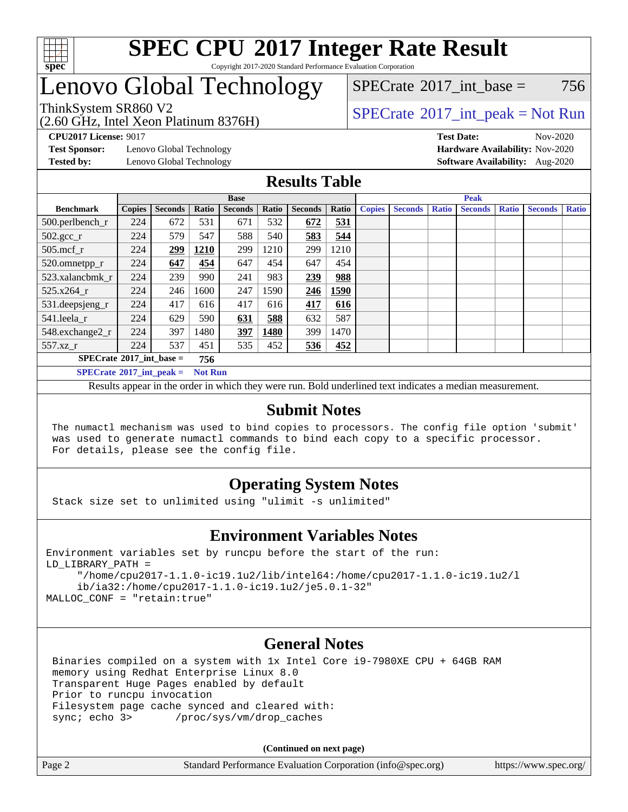

#### **[SPEC CPU](http://www.spec.org/auto/cpu2017/Docs/result-fields.html#SPECCPU2017IntegerRateResult)[2017 Integer Rate Result](http://www.spec.org/auto/cpu2017/Docs/result-fields.html#SPECCPU2017IntegerRateResult)** Copyright 2017-2020 Standard Performance Evaluation Corporation

## Lenovo Global Technology

(2.60 GHz, Intel Xeon Platinum 8376H)

[SPECrate](http://www.spec.org/auto/cpu2017/Docs/result-fields.html#SPECrate2017intbase)<sup>®</sup>2017 int base = 756

### ThinkSystem SR860 V2<br>  $\begin{array}{c} \text{SPECrate} \textcirc 2017\_int\_peak = Not Run \end{array}$  $\begin{array}{c} \text{SPECrate} \textcirc 2017\_int\_peak = Not Run \end{array}$  $\begin{array}{c} \text{SPECrate} \textcirc 2017\_int\_peak = Not Run \end{array}$

**[CPU2017 License:](http://www.spec.org/auto/cpu2017/Docs/result-fields.html#CPU2017License)** 9017 **[Test Date:](http://www.spec.org/auto/cpu2017/Docs/result-fields.html#TestDate)** Nov-2020

**[Test Sponsor:](http://www.spec.org/auto/cpu2017/Docs/result-fields.html#TestSponsor)** Lenovo Global Technology **[Hardware Availability:](http://www.spec.org/auto/cpu2017/Docs/result-fields.html#HardwareAvailability)** Nov-2020

**[Tested by:](http://www.spec.org/auto/cpu2017/Docs/result-fields.html#Testedby)** Lenovo Global Technology **[Software Availability:](http://www.spec.org/auto/cpu2017/Docs/result-fields.html#SoftwareAvailability)** Aug-2020

### **[Results Table](http://www.spec.org/auto/cpu2017/Docs/result-fields.html#ResultsTable)**

|                                            | <b>Base</b>   |                |                |                |       | <b>Peak</b>    |       |               |                |              |                |              |                |              |
|--------------------------------------------|---------------|----------------|----------------|----------------|-------|----------------|-------|---------------|----------------|--------------|----------------|--------------|----------------|--------------|
| <b>Benchmark</b>                           | <b>Copies</b> | <b>Seconds</b> | Ratio          | <b>Seconds</b> | Ratio | <b>Seconds</b> | Ratio | <b>Copies</b> | <b>Seconds</b> | <b>Ratio</b> | <b>Seconds</b> | <b>Ratio</b> | <b>Seconds</b> | <b>Ratio</b> |
| 500.perlbench_r                            | 224           | 672            | 531            | 671            | 532   | 672            | 531   |               |                |              |                |              |                |              |
| $502.\text{gcc}$ _r                        | 224           | 579            | 547            | 588            | 540   | 583            | 544   |               |                |              |                |              |                |              |
| $505$ .mcf r                               | 224           | 299            | 1210           | 299            | 1210  | 299            | 1210  |               |                |              |                |              |                |              |
| 520.omnetpp_r                              | 224           | 647            | 454            | 647            | 454   | 647            | 454   |               |                |              |                |              |                |              |
| 523.xalancbmk r                            | 224           | 239            | 990            | 241            | 983   | 239            | 988   |               |                |              |                |              |                |              |
| 525.x264 r                                 | 224           | 246            | 1600           | 247            | 1590  | 246            | 1590  |               |                |              |                |              |                |              |
| $531.$ deepsjeng $_r$                      | 224           | 417            | 616            | 417            | 616   | 417            | 616   |               |                |              |                |              |                |              |
| 541.leela r                                | 224           | 629            | 590            | 631            | 588   | 632            | 587   |               |                |              |                |              |                |              |
| 548.exchange2_r                            | 224           | 397            | 1480           | 397            | 1480  | 399            | 1470  |               |                |              |                |              |                |              |
| 557.xz r                                   | 224           | 537            | 451            | 535            | 452   | 536            | 452   |               |                |              |                |              |                |              |
| $SPECrate^{\circ}2017\_int\_base =$<br>756 |               |                |                |                |       |                |       |               |                |              |                |              |                |              |
| $SPECrate^{\circ}2017$ int peak =          |               |                | <b>Not Run</b> |                |       |                |       |               |                |              |                |              |                |              |

Results appear in the [order in which they were run](http://www.spec.org/auto/cpu2017/Docs/result-fields.html#RunOrder). Bold underlined text [indicates a median measurement](http://www.spec.org/auto/cpu2017/Docs/result-fields.html#Median).

### **[Submit Notes](http://www.spec.org/auto/cpu2017/Docs/result-fields.html#SubmitNotes)**

 The numactl mechanism was used to bind copies to processors. The config file option 'submit' was used to generate numactl commands to bind each copy to a specific processor. For details, please see the config file.

### **[Operating System Notes](http://www.spec.org/auto/cpu2017/Docs/result-fields.html#OperatingSystemNotes)**

Stack size set to unlimited using "ulimit -s unlimited"

### **[Environment Variables Notes](http://www.spec.org/auto/cpu2017/Docs/result-fields.html#EnvironmentVariablesNotes)**

```
Environment variables set by runcpu before the start of the run:
LD_LIBRARY_PATH =
      "/home/cpu2017-1.1.0-ic19.1u2/lib/intel64:/home/cpu2017-1.1.0-ic19.1u2/l
      ib/ia32:/home/cpu2017-1.1.0-ic19.1u2/je5.0.1-32"
MALLOC_CONF = "retain:true"
```
### **[General Notes](http://www.spec.org/auto/cpu2017/Docs/result-fields.html#GeneralNotes)**

 Binaries compiled on a system with 1x Intel Core i9-7980XE CPU + 64GB RAM memory using Redhat Enterprise Linux 8.0 Transparent Huge Pages enabled by default Prior to runcpu invocation Filesystem page cache synced and cleared with: sync; echo 3> /proc/sys/vm/drop\_caches

**(Continued on next page)**

| Page 2 | Standard Performance Evaluation Corporation (info@spec.org) | https://www.spec.org/ |
|--------|-------------------------------------------------------------|-----------------------|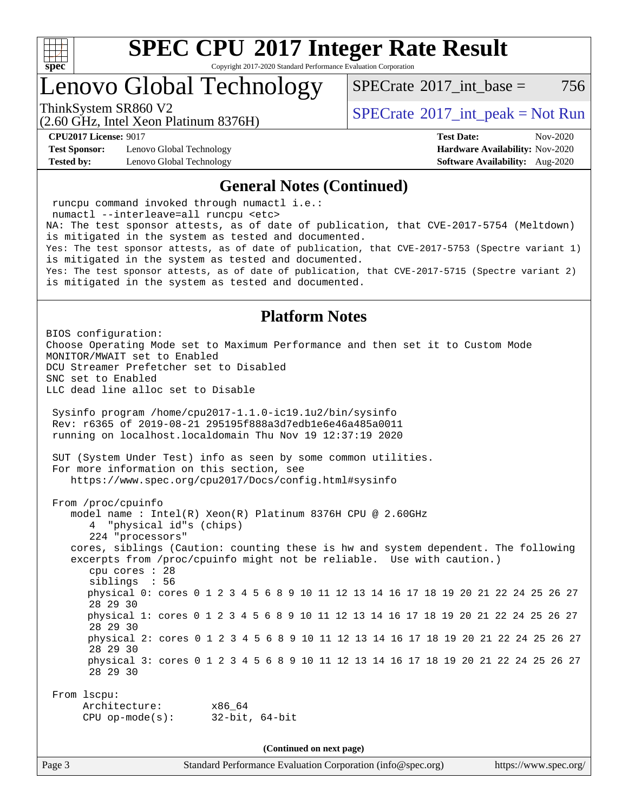

Copyright 2017-2020 Standard Performance Evaluation Corporation

### Lenovo Global Technology

[SPECrate](http://www.spec.org/auto/cpu2017/Docs/result-fields.html#SPECrate2017intbase)<sup>®</sup>2017 int base = 756

(2.60 GHz, Intel Xeon Platinum 8376H)

ThinkSystem SR860 V2<br>  $\begin{array}{c} \text{SPECrate} \textcirc 2017\_int\_peak = Not Run \end{array}$  $\begin{array}{c} \text{SPECrate} \textcirc 2017\_int\_peak = Not Run \end{array}$  $\begin{array}{c} \text{SPECrate} \textcirc 2017\_int\_peak = Not Run \end{array}$ 

**[Test Sponsor:](http://www.spec.org/auto/cpu2017/Docs/result-fields.html#TestSponsor)** Lenovo Global Technology **[Hardware Availability:](http://www.spec.org/auto/cpu2017/Docs/result-fields.html#HardwareAvailability)** Nov-2020 **[Tested by:](http://www.spec.org/auto/cpu2017/Docs/result-fields.html#Testedby)** Lenovo Global Technology **[Software Availability:](http://www.spec.org/auto/cpu2017/Docs/result-fields.html#SoftwareAvailability)** Aug-2020

**[CPU2017 License:](http://www.spec.org/auto/cpu2017/Docs/result-fields.html#CPU2017License)** 9017 **[Test Date:](http://www.spec.org/auto/cpu2017/Docs/result-fields.html#TestDate)** Nov-2020

#### **[General Notes \(Continued\)](http://www.spec.org/auto/cpu2017/Docs/result-fields.html#GeneralNotes)**

 runcpu command invoked through numactl i.e.: numactl --interleave=all runcpu <etc> NA: The test sponsor attests, as of date of publication, that CVE-2017-5754 (Meltdown) is mitigated in the system as tested and documented. Yes: The test sponsor attests, as of date of publication, that CVE-2017-5753 (Spectre variant 1) is mitigated in the system as tested and documented. Yes: The test sponsor attests, as of date of publication, that CVE-2017-5715 (Spectre variant 2) is mitigated in the system as tested and documented. **[Platform Notes](http://www.spec.org/auto/cpu2017/Docs/result-fields.html#PlatformNotes)** BIOS configuration: Choose Operating Mode set to Maximum Performance and then set it to Custom Mode MONITOR/MWAIT set to Enabled DCU Streamer Prefetcher set to Disabled SNC set to Enabled LLC dead line alloc set to Disable Sysinfo program /home/cpu2017-1.1.0-ic19.1u2/bin/sysinfo Rev: r6365 of 2019-08-21 295195f888a3d7edb1e6e46a485a0011 running on localhost.localdomain Thu Nov 19 12:37:19 2020 SUT (System Under Test) info as seen by some common utilities. For more information on this section, see <https://www.spec.org/cpu2017/Docs/config.html#sysinfo> From /proc/cpuinfo model name : Intel(R) Xeon(R) Platinum 8376H CPU @ 2.60GHz 4 "physical id"s (chips) 224 "processors" cores, siblings (Caution: counting these is hw and system dependent. The following excerpts from /proc/cpuinfo might not be reliable. Use with caution.) cpu cores : 28 siblings : 56 physical 0: cores 0 1 2 3 4 5 6 8 9 10 11 12 13 14 16 17 18 19 20 21 22 24 25 26 27 28 29 30 physical 1: cores 0 1 2 3 4 5 6 8 9 10 11 12 13 14 16 17 18 19 20 21 22 24 25 26 27 28 29 30 physical 2: cores 0 1 2 3 4 5 6 8 9 10 11 12 13 14 16 17 18 19 20 21 22 24 25 26 27 28 29 30 physical 3: cores 0 1 2 3 4 5 6 8 9 10 11 12 13 14 16 17 18 19 20 21 22 24 25 26 27 28 29 30 From lscpu: Architecture: x86\_64 CPU op-mode(s): 32-bit, 64-bit **(Continued on next page)**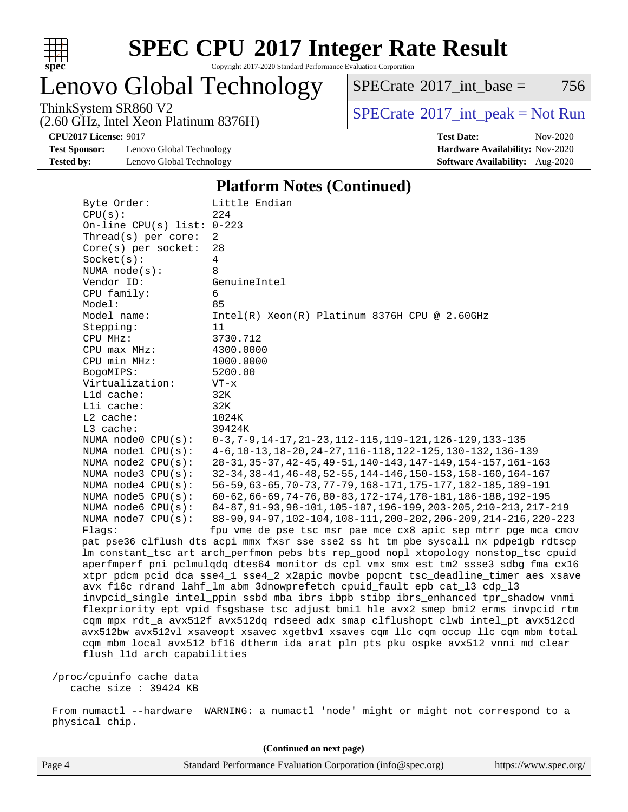

Copyright 2017-2020 Standard Performance Evaluation Corporation

Lenovo Global Technology

 $SPECTate$ <sup>®</sup>[2017\\_int\\_base =](http://www.spec.org/auto/cpu2017/Docs/result-fields.html#SPECrate2017intbase) 756

(2.60 GHz, Intel Xeon Platinum 8376H)

ThinkSystem SR860 V2<br>  $\begin{array}{c}\n\text{SPECrate} \textcirc 2017\_int\_peak = Not Run \\
\text{SPECrate} \textcirc 2017\_int\_peak = Not Run\n\end{array}$  $\begin{array}{c}\n\text{SPECrate} \textcirc 2017\_int\_peak = Not Run \\
\text{SPECrate} \textcirc 2017\_int\_peak = Not Run\n\end{array}$  $\begin{array}{c}\n\text{SPECrate} \textcirc 2017\_int\_peak = Not Run \\
\text{SPECrate} \textcirc 2017\_int\_peak = Not Run\n\end{array}$ 

**[Test Sponsor:](http://www.spec.org/auto/cpu2017/Docs/result-fields.html#TestSponsor)** Lenovo Global Technology **[Hardware Availability:](http://www.spec.org/auto/cpu2017/Docs/result-fields.html#HardwareAvailability)** Nov-2020 **[Tested by:](http://www.spec.org/auto/cpu2017/Docs/result-fields.html#Testedby)** Lenovo Global Technology **[Software Availability:](http://www.spec.org/auto/cpu2017/Docs/result-fields.html#SoftwareAvailability)** Aug-2020

**[CPU2017 License:](http://www.spec.org/auto/cpu2017/Docs/result-fields.html#CPU2017License)** 9017 **[Test Date:](http://www.spec.org/auto/cpu2017/Docs/result-fields.html#TestDate)** Nov-2020

#### **[Platform Notes \(Continued\)](http://www.spec.org/auto/cpu2017/Docs/result-fields.html#PlatformNotes)**

| Byte Order:                  | Little Endian                                                                                                                                        |
|------------------------------|------------------------------------------------------------------------------------------------------------------------------------------------------|
| CPU(s):                      | 224                                                                                                                                                  |
| On-line CPU(s) list: $0-223$ |                                                                                                                                                      |
| Thread( $s$ ) per core:      | 2                                                                                                                                                    |
| $Core(s)$ per socket:        | 28                                                                                                                                                   |
| Socket(s):                   | 4                                                                                                                                                    |
| NUMA $node(s):$              | 8                                                                                                                                                    |
| Vendor ID:                   | GenuineIntel                                                                                                                                         |
| CPU family:                  | 6                                                                                                                                                    |
| Model:                       | 85                                                                                                                                                   |
| Model name:                  | $Intel(R) Xeon(R) Platinum 8376H CPU @ 2.60GHz$                                                                                                      |
| Stepping:                    | 11                                                                                                                                                   |
| CPU MHz:                     | 3730.712                                                                                                                                             |
| CPU max MHz:                 | 4300.0000                                                                                                                                            |
| CPU min MHz:                 | 1000.0000                                                                                                                                            |
| BogoMIPS:                    | 5200.00                                                                                                                                              |
| Virtualization:              | $VT - x$                                                                                                                                             |
| Lld cache:                   | 32K                                                                                                                                                  |
| Lli cache:                   | 32K                                                                                                                                                  |
| $L2$ cache:                  | 1024K                                                                                                                                                |
| L3 cache:                    | 39424K                                                                                                                                               |
| NUMA node0 CPU(s):           | 0-3, 7-9, 14-17, 21-23, 112-115, 119-121, 126-129, 133-135                                                                                           |
| NUMA nodel CPU(s):           | 4-6, 10-13, 18-20, 24-27, 116-118, 122-125, 130-132, 136-139                                                                                         |
| NUMA $node2$ $CPU(s)$ :      | 28-31, 35-37, 42-45, 49-51, 140-143, 147-149, 154-157, 161-163                                                                                       |
| NUMA node3 CPU(s):           | 32-34, 38-41, 46-48, 52-55, 144-146, 150-153, 158-160, 164-167                                                                                       |
| NUMA $node4$ $CPU(s):$       | 56-59, 63-65, 70-73, 77-79, 168-171, 175-177, 182-185, 189-191                                                                                       |
| NUMA node5 CPU(s):           | 60-62, 66-69, 74-76, 80-83, 172-174, 178-181, 186-188, 192-195                                                                                       |
| NUMA $node6$ $CPU(s):$       | 84-87, 91-93, 98-101, 105-107, 196-199, 203-205, 210-213, 217-219                                                                                    |
| NUMA node7 CPU(s):           | 88-90, 94-97, 102-104, 108-111, 200-202, 206-209, 214-216, 220-223                                                                                   |
| Flags:                       | fpu vme de pse tsc msr pae mce cx8 apic sep mtrr pge mca cmov<br>pat pse36 clflush dts acpi mmx fxsr sse sse2 ss ht tm pbe syscall nx pdpe1gb rdtscp |
|                              | lm constant_tsc art arch_perfmon pebs bts rep_good nopl xtopology nonstop_tsc cpuid                                                                  |
|                              | aperfmperf pni pclmulqdq dtes64 monitor ds_cpl vmx smx est tm2 ssse3 sdbg fma cx16                                                                   |
|                              | xtpr pdcm pcid dca sse4_1 sse4_2 x2apic movbe popcnt tsc_deadline_timer aes xsave                                                                    |
|                              | avx f16c rdrand lahf_lm abm 3dnowprefetch cpuid_fault epb cat_13 cdp_13                                                                              |
|                              | invpcid_single intel_ppin ssbd mba ibrs ibpb stibp ibrs_enhanced tpr_shadow vnmi                                                                     |
|                              | flexpriority ept vpid fsgsbase tsc_adjust bmil hle avx2 smep bmi2 erms invpcid rtm                                                                   |
|                              | cqm mpx rdt_a avx512f avx512dq rdseed adx smap clflushopt clwb intel_pt avx512cd                                                                     |
|                              | avx512bw avx512vl xsaveopt xsavec xgetbvl xsaves cqm_llc cqm_occup_llc cqm_mbm_total                                                                 |
|                              | cqm_mbm_local avx512_bf16 dtherm ida arat pln pts pku ospke avx512_vnni md_clear                                                                     |
| flush_11d arch_capabilities  |                                                                                                                                                      |
|                              |                                                                                                                                                      |
| /proc/cpuinfo cache data     |                                                                                                                                                      |
| cache size $: 39424$ KB      |                                                                                                                                                      |
|                              |                                                                                                                                                      |

 From numactl --hardware WARNING: a numactl 'node' might or might not correspond to a physical chip.

**(Continued on next page)**

Page 4 Standard Performance Evaluation Corporation [\(info@spec.org\)](mailto:info@spec.org) <https://www.spec.org/>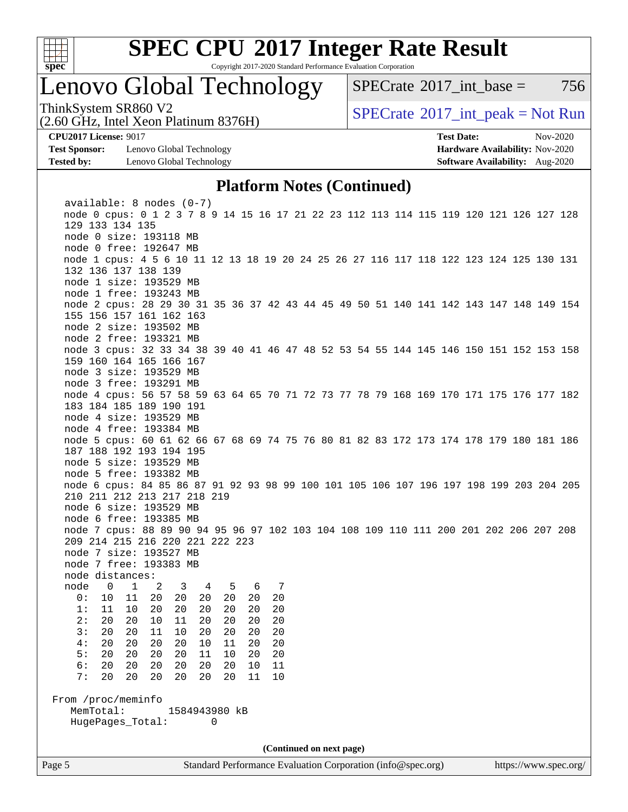

Copyright 2017-2020 Standard Performance Evaluation Corporation

## Lenovo Global Technology

 $SPECTate^{\circ}2017$  int base = 756

(2.60 GHz, Intel Xeon Platinum 8376H)

ThinkSystem SR860 V2<br>  $\begin{array}{c} \text{SPECrate} \textcirc 2017\_int\_peak = Not Run \end{array}$  $\begin{array}{c} \text{SPECrate} \textcirc 2017\_int\_peak = Not Run \end{array}$  $\begin{array}{c} \text{SPECrate} \textcirc 2017\_int\_peak = Not Run \end{array}$ 

**[Test Sponsor:](http://www.spec.org/auto/cpu2017/Docs/result-fields.html#TestSponsor)** Lenovo Global Technology **[Hardware Availability:](http://www.spec.org/auto/cpu2017/Docs/result-fields.html#HardwareAvailability)** Nov-2020 **[Tested by:](http://www.spec.org/auto/cpu2017/Docs/result-fields.html#Testedby)** Lenovo Global Technology **[Software Availability:](http://www.spec.org/auto/cpu2017/Docs/result-fields.html#SoftwareAvailability)** Aug-2020

**[CPU2017 License:](http://www.spec.org/auto/cpu2017/Docs/result-fields.html#CPU2017License)** 9017 **[Test Date:](http://www.spec.org/auto/cpu2017/Docs/result-fields.html#TestDate)** Nov-2020

#### **[Platform Notes \(Continued\)](http://www.spec.org/auto/cpu2017/Docs/result-fields.html#PlatformNotes)**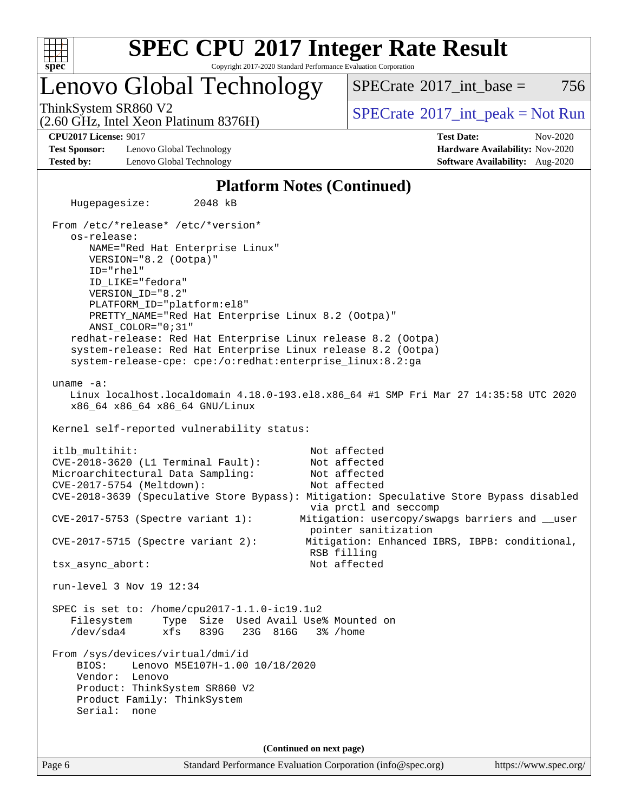

Copyright 2017-2020 Standard Performance Evaluation Corporation

### Lenovo Global Technology

 $SPECTate^{\circ}2017$  int base = 756

(2.60 GHz, Intel Xeon Platinum 8376H)

ThinkSystem SR860 V2<br>  $\begin{array}{c} \text{SPECrate} \textcirc 2017\_int\_peak = Not Run \end{array}$  $\begin{array}{c} \text{SPECrate} \textcirc 2017\_int\_peak = Not Run \end{array}$  $\begin{array}{c} \text{SPECrate} \textcirc 2017\_int\_peak = Not Run \end{array}$ 

**[Test Sponsor:](http://www.spec.org/auto/cpu2017/Docs/result-fields.html#TestSponsor)** Lenovo Global Technology **[Hardware Availability:](http://www.spec.org/auto/cpu2017/Docs/result-fields.html#HardwareAvailability)** Nov-2020 **[Tested by:](http://www.spec.org/auto/cpu2017/Docs/result-fields.html#Testedby)** Lenovo Global Technology **[Software Availability:](http://www.spec.org/auto/cpu2017/Docs/result-fields.html#SoftwareAvailability)** Aug-2020

**[CPU2017 License:](http://www.spec.org/auto/cpu2017/Docs/result-fields.html#CPU2017License)** 9017 **[Test Date:](http://www.spec.org/auto/cpu2017/Docs/result-fields.html#TestDate)** Nov-2020

### **[Platform Notes \(Continued\)](http://www.spec.org/auto/cpu2017/Docs/result-fields.html#PlatformNotes)**

Page 6 Standard Performance Evaluation Corporation [\(info@spec.org\)](mailto:info@spec.org) <https://www.spec.org/> Hugepagesize: 2048 kB From /etc/\*release\* /etc/\*version\* os-release: NAME="Red Hat Enterprise Linux" VERSION="8.2 (Ootpa)" ID="rhel" ID\_LIKE="fedora" VERSION\_ID="8.2" PLATFORM\_ID="platform:el8" PRETTY\_NAME="Red Hat Enterprise Linux 8.2 (Ootpa)" ANSI\_COLOR="0;31" redhat-release: Red Hat Enterprise Linux release 8.2 (Ootpa) system-release: Red Hat Enterprise Linux release 8.2 (Ootpa) system-release-cpe: cpe:/o:redhat:enterprise\_linux:8.2:ga uname -a: Linux localhost.localdomain 4.18.0-193.el8.x86\_64 #1 SMP Fri Mar 27 14:35:58 UTC 2020 x86\_64 x86\_64 x86\_64 GNU/Linux Kernel self-reported vulnerability status: itlb\_multihit: Not affected CVE-2018-3620 (L1 Terminal Fault): Not affected Microarchitectural Data Sampling: Not affected CVE-2017-5754 (Meltdown): Not affected CVE-2018-3639 (Speculative Store Bypass): Mitigation: Speculative Store Bypass disabled via prctl and seccomp CVE-2017-5753 (Spectre variant 1): Mitigation: usercopy/swapgs barriers and \_\_user pointer sanitization CVE-2017-5715 (Spectre variant 2): Mitigation: Enhanced IBRS, IBPB: conditional, RSB filling tsx\_async\_abort: Not affected run-level 3 Nov 19 12:34 SPEC is set to: /home/cpu2017-1.1.0-ic19.1u2 Filesystem Type Size Used Avail Use% Mounted on /dev/sda4 xfs 839G 23G 816G 3% /home From /sys/devices/virtual/dmi/id BIOS: Lenovo M5E107H-1.00 10/18/2020 Vendor: Lenovo Product: ThinkSystem SR860 V2 Product Family: ThinkSystem Serial: none **(Continued on next page)**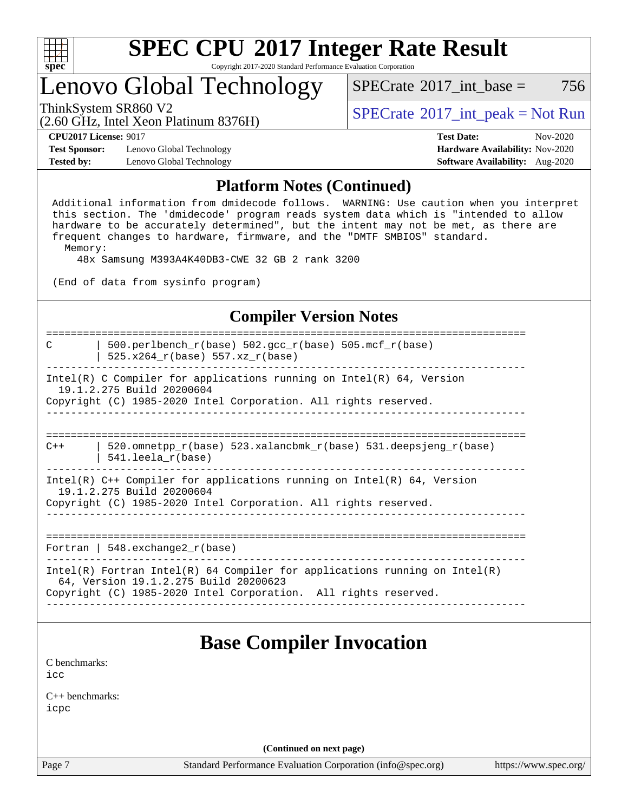

Copyright 2017-2020 Standard Performance Evaluation Corporation

### Lenovo Global Technology

 $SPECTate^{\circ}2017$  int base = 756

(2.60 GHz, Intel Xeon Platinum 8376H)

ThinkSystem SR860 V2<br>  $\begin{array}{c} \text{SPECrate} \textcirc 2017\_int\_peak = Not Run \end{array}$  $\begin{array}{c} \text{SPECrate} \textcirc 2017\_int\_peak = Not Run \end{array}$  $\begin{array}{c} \text{SPECrate} \textcirc 2017\_int\_peak = Not Run \end{array}$ 

**[CPU2017 License:](http://www.spec.org/auto/cpu2017/Docs/result-fields.html#CPU2017License)** 9017 **[Test Date:](http://www.spec.org/auto/cpu2017/Docs/result-fields.html#TestDate)** Nov-2020

**[Test Sponsor:](http://www.spec.org/auto/cpu2017/Docs/result-fields.html#TestSponsor)** Lenovo Global Technology **[Hardware Availability:](http://www.spec.org/auto/cpu2017/Docs/result-fields.html#HardwareAvailability)** Nov-2020 **[Tested by:](http://www.spec.org/auto/cpu2017/Docs/result-fields.html#Testedby)** Lenovo Global Technology **[Software Availability:](http://www.spec.org/auto/cpu2017/Docs/result-fields.html#SoftwareAvailability)** Aug-2020

### **[Platform Notes \(Continued\)](http://www.spec.org/auto/cpu2017/Docs/result-fields.html#PlatformNotes)**

 Additional information from dmidecode follows. WARNING: Use caution when you interpret this section. The 'dmidecode' program reads system data which is "intended to allow hardware to be accurately determined", but the intent may not be met, as there are frequent changes to hardware, firmware, and the "DMTF SMBIOS" standard. Memory:

48x Samsung M393A4K40DB3-CWE 32 GB 2 rank 3200

(End of data from sysinfo program)

### **[Compiler Version Notes](http://www.spec.org/auto/cpu2017/Docs/result-fields.html#CompilerVersionNotes)**

============================================================================== C | 500.perlbench r(base) 502.gcc r(base) 505.mcf r(base) | 525.x264\_r(base) 557.xz\_r(base) ------------------------------------------------------------------------------ Intel(R) C Compiler for applications running on Intel(R)  $64$ , Version 19.1.2.275 Build 20200604 Copyright (C) 1985-2020 Intel Corporation. All rights reserved. ------------------------------------------------------------------------------ ============================================================================== C++  $\vert$  520.omnetpp  $r(base)$  523.xalancbmk  $r(base)$  531.deepsjeng  $r(base)$  | 541.leela\_r(base) ------------------------------------------------------------------------------ Intel(R) C++ Compiler for applications running on Intel(R) 64, Version 19.1.2.275 Build 20200604 Copyright (C) 1985-2020 Intel Corporation. All rights reserved. ------------------------------------------------------------------------------ ============================================================================== Fortran | 548.exchange2  $r(base)$ ------------------------------------------------------------------------------ Intel(R) Fortran Intel(R) 64 Compiler for applications running on Intel(R) 64, Version 19.1.2.275 Build 20200623 Copyright (C) 1985-2020 Intel Corporation. All rights reserved. ------------------------------------------------------------------------------ **[Base Compiler Invocation](http://www.spec.org/auto/cpu2017/Docs/result-fields.html#BaseCompilerInvocation)** [C benchmarks](http://www.spec.org/auto/cpu2017/Docs/result-fields.html#Cbenchmarks): [icc](http://www.spec.org/cpu2017/results/res2020q4/cpu2017-20201123-24473.flags.html#user_CCbase_intel_icc_66fc1ee009f7361af1fbd72ca7dcefbb700085f36577c54f309893dd4ec40d12360134090235512931783d35fd58c0460139e722d5067c5574d8eaf2b3e37e92) [C++ benchmarks:](http://www.spec.org/auto/cpu2017/Docs/result-fields.html#CXXbenchmarks) [icpc](http://www.spec.org/cpu2017/results/res2020q4/cpu2017-20201123-24473.flags.html#user_CXXbase_intel_icpc_c510b6838c7f56d33e37e94d029a35b4a7bccf4766a728ee175e80a419847e808290a9b78be685c44ab727ea267ec2f070ec5dc83b407c0218cded6866a35d07)

**(Continued on next page)**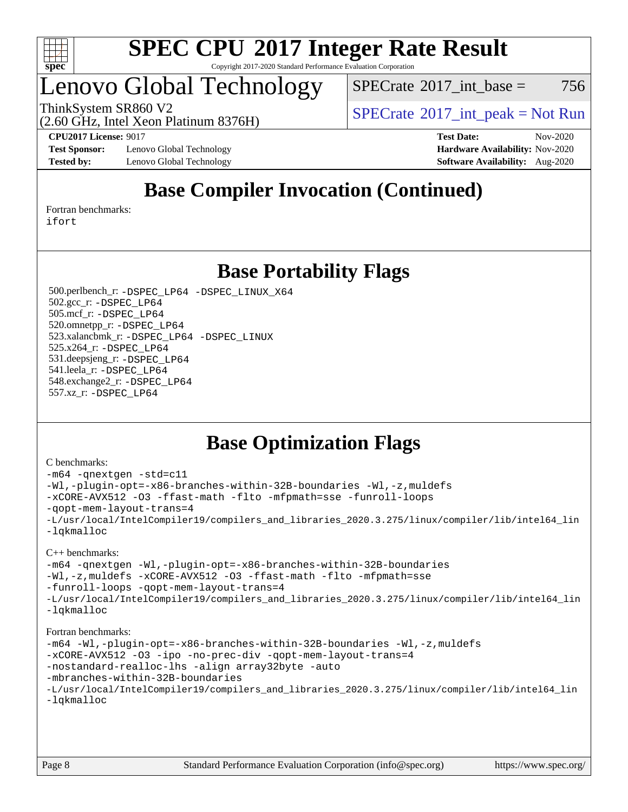

#### **[SPEC CPU](http://www.spec.org/auto/cpu2017/Docs/result-fields.html#SPECCPU2017IntegerRateResult)[2017 Integer Rate Result](http://www.spec.org/auto/cpu2017/Docs/result-fields.html#SPECCPU2017IntegerRateResult)** Copyright 2017-2020 Standard Performance Evaluation Corporation

## Lenovo Global Technology

 $SPECTate$ <sup>®</sup>[2017\\_int\\_base =](http://www.spec.org/auto/cpu2017/Docs/result-fields.html#SPECrate2017intbase) 756

(2.60 GHz, Intel Xeon Platinum 8376H)

ThinkSystem SR860 V2<br>  $\begin{array}{c} \text{SPECTI}_{\text{S}} \text{SFR} = \text{Not Run} \\ \text{SPECTI}_{\text{S}} \text{SFR} = \text{Not Run} \end{array}$ 

**[Test Sponsor:](http://www.spec.org/auto/cpu2017/Docs/result-fields.html#TestSponsor)** Lenovo Global Technology **[Hardware Availability:](http://www.spec.org/auto/cpu2017/Docs/result-fields.html#HardwareAvailability)** Nov-2020 **[Tested by:](http://www.spec.org/auto/cpu2017/Docs/result-fields.html#Testedby)** Lenovo Global Technology **[Software Availability:](http://www.spec.org/auto/cpu2017/Docs/result-fields.html#SoftwareAvailability)** Aug-2020

**[CPU2017 License:](http://www.spec.org/auto/cpu2017/Docs/result-fields.html#CPU2017License)** 9017 **[Test Date:](http://www.spec.org/auto/cpu2017/Docs/result-fields.html#TestDate)** Nov-2020

### **[Base Compiler Invocation \(Continued\)](http://www.spec.org/auto/cpu2017/Docs/result-fields.html#BaseCompilerInvocation)**

[Fortran benchmarks](http://www.spec.org/auto/cpu2017/Docs/result-fields.html#Fortranbenchmarks): [ifort](http://www.spec.org/cpu2017/results/res2020q4/cpu2017-20201123-24473.flags.html#user_FCbase_intel_ifort_8111460550e3ca792625aed983ce982f94888b8b503583aa7ba2b8303487b4d8a21a13e7191a45c5fd58ff318f48f9492884d4413fa793fd88dd292cad7027ca)

**[Base Portability Flags](http://www.spec.org/auto/cpu2017/Docs/result-fields.html#BasePortabilityFlags)**

 500.perlbench\_r: [-DSPEC\\_LP64](http://www.spec.org/cpu2017/results/res2020q4/cpu2017-20201123-24473.flags.html#b500.perlbench_r_basePORTABILITY_DSPEC_LP64) [-DSPEC\\_LINUX\\_X64](http://www.spec.org/cpu2017/results/res2020q4/cpu2017-20201123-24473.flags.html#b500.perlbench_r_baseCPORTABILITY_DSPEC_LINUX_X64) 502.gcc\_r: [-DSPEC\\_LP64](http://www.spec.org/cpu2017/results/res2020q4/cpu2017-20201123-24473.flags.html#suite_basePORTABILITY502_gcc_r_DSPEC_LP64) 505.mcf\_r: [-DSPEC\\_LP64](http://www.spec.org/cpu2017/results/res2020q4/cpu2017-20201123-24473.flags.html#suite_basePORTABILITY505_mcf_r_DSPEC_LP64) 520.omnetpp\_r: [-DSPEC\\_LP64](http://www.spec.org/cpu2017/results/res2020q4/cpu2017-20201123-24473.flags.html#suite_basePORTABILITY520_omnetpp_r_DSPEC_LP64) 523.xalancbmk\_r: [-DSPEC\\_LP64](http://www.spec.org/cpu2017/results/res2020q4/cpu2017-20201123-24473.flags.html#suite_basePORTABILITY523_xalancbmk_r_DSPEC_LP64) [-DSPEC\\_LINUX](http://www.spec.org/cpu2017/results/res2020q4/cpu2017-20201123-24473.flags.html#b523.xalancbmk_r_baseCXXPORTABILITY_DSPEC_LINUX) 525.x264\_r: [-DSPEC\\_LP64](http://www.spec.org/cpu2017/results/res2020q4/cpu2017-20201123-24473.flags.html#suite_basePORTABILITY525_x264_r_DSPEC_LP64) 531.deepsjeng\_r: [-DSPEC\\_LP64](http://www.spec.org/cpu2017/results/res2020q4/cpu2017-20201123-24473.flags.html#suite_basePORTABILITY531_deepsjeng_r_DSPEC_LP64) 541.leela\_r: [-DSPEC\\_LP64](http://www.spec.org/cpu2017/results/res2020q4/cpu2017-20201123-24473.flags.html#suite_basePORTABILITY541_leela_r_DSPEC_LP64) 548.exchange2\_r: [-DSPEC\\_LP64](http://www.spec.org/cpu2017/results/res2020q4/cpu2017-20201123-24473.flags.html#suite_basePORTABILITY548_exchange2_r_DSPEC_LP64) 557.xz\_r: [-DSPEC\\_LP64](http://www.spec.org/cpu2017/results/res2020q4/cpu2017-20201123-24473.flags.html#suite_basePORTABILITY557_xz_r_DSPEC_LP64)

### **[Base Optimization Flags](http://www.spec.org/auto/cpu2017/Docs/result-fields.html#BaseOptimizationFlags)**

#### [C benchmarks](http://www.spec.org/auto/cpu2017/Docs/result-fields.html#Cbenchmarks):

```
-m64 -qnextgen -std=c11
-Wl,-plugin-opt=-x86-branches-within-32B-boundaries -Wl,-z,muldefs
-xCORE-AVX512 -O3 -ffast-math -flto -mfpmath=sse -funroll-loops
-qopt-mem-layout-trans=4
-L/usr/local/IntelCompiler19/compilers_and_libraries_2020.3.275/linux/compiler/lib/intel64_lin
-lqkmalloc
```
#### [C++ benchmarks](http://www.spec.org/auto/cpu2017/Docs/result-fields.html#CXXbenchmarks):

```
-m64 -qnextgen -Wl,-plugin-opt=-x86-branches-within-32B-boundaries
-Wl,-z,muldefs -xCORE-AVX512 -O3 -ffast-math -flto -mfpmath=sse
-funroll-loops -qopt-mem-layout-trans=4
-L/usr/local/IntelCompiler19/compilers_and_libraries_2020.3.275/linux/compiler/lib/intel64_lin
-lqkmalloc
```
#### [Fortran benchmarks:](http://www.spec.org/auto/cpu2017/Docs/result-fields.html#Fortranbenchmarks)

```
-m64 -Wl,-plugin-opt=-x86-branches-within-32B-boundaries -Wl,-z,muldefs
-xCORE-AVX512 -O3 -ipo -no-prec-div -qopt-mem-layout-trans=4
-nostandard-realloc-lhs -align array32byte -auto
-mbranches-within-32B-boundaries
-L/usr/local/IntelCompiler19/compilers_and_libraries_2020.3.275/linux/compiler/lib/intel64_lin
-lqkmalloc
```